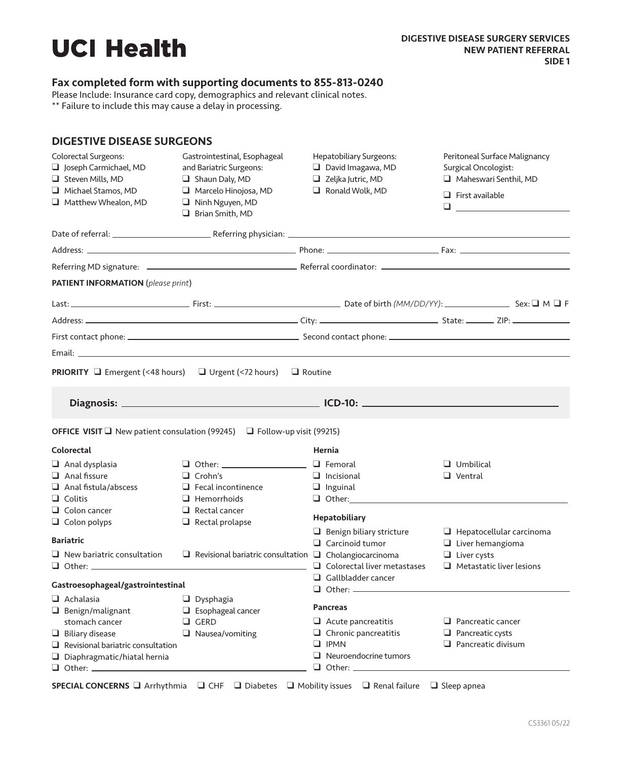## Fax completed form with supporting documents to 855-813-0240

Please Include: Insurance card copy, demographics and relevant clinical notes.

\*\* Failure to include this may cause a delay in processing.

| <b>DIGESTIVE DISEASE SURGEONS</b>                                                                                                                                         |                                                                                                                                                         |                                                                                                                            |                                                                                                                                          |
|---------------------------------------------------------------------------------------------------------------------------------------------------------------------------|---------------------------------------------------------------------------------------------------------------------------------------------------------|----------------------------------------------------------------------------------------------------------------------------|------------------------------------------------------------------------------------------------------------------------------------------|
| Colorectal Surgeons:<br>Joseph Carmichael, MD<br>Steven Mills, MD<br>Michael Stamos, MD<br>Matthew Whealon, MD                                                            | Gastrointestinal, Esophageal<br>and Bariatric Surgeons:<br>Shaun Daly, MD<br>$\Box$ Marcelo Hinojosa, MD<br>$\Box$ Ninh Nguyen, MD<br>Brian Smith, MD   | Hepatobiliary Surgeons:<br>$\Box$ David Imagawa, MD<br>$\Box$ Zeljka Jutric, MD<br>Ronald Wolk, MD                         | Peritoneal Surface Malignancy<br>Surgical Oncologist:<br>Maheswari Senthil, MD<br>$\Box$ First available<br>$\Box$ and $\Box$ and $\Box$ |
|                                                                                                                                                                           |                                                                                                                                                         |                                                                                                                            |                                                                                                                                          |
|                                                                                                                                                                           |                                                                                                                                                         |                                                                                                                            |                                                                                                                                          |
|                                                                                                                                                                           |                                                                                                                                                         |                                                                                                                            |                                                                                                                                          |
| <b>PATIENT INFORMATION</b> (please print)                                                                                                                                 |                                                                                                                                                         |                                                                                                                            |                                                                                                                                          |
|                                                                                                                                                                           |                                                                                                                                                         |                                                                                                                            |                                                                                                                                          |
|                                                                                                                                                                           |                                                                                                                                                         |                                                                                                                            |                                                                                                                                          |
|                                                                                                                                                                           |                                                                                                                                                         |                                                                                                                            |                                                                                                                                          |
|                                                                                                                                                                           |                                                                                                                                                         |                                                                                                                            |                                                                                                                                          |
| <b>PRIORITY</b> $\Box$ Emergent (<48 hours) $\Box$ Urgent (<72 hours) $\Box$ Routine                                                                                      |                                                                                                                                                         |                                                                                                                            |                                                                                                                                          |
|                                                                                                                                                                           |                                                                                                                                                         |                                                                                                                            |                                                                                                                                          |
| <b>OFFICE VISIT</b> $\Box$ New patient consulation (99245) $\Box$ Follow-up visit (99215)                                                                                 |                                                                                                                                                         |                                                                                                                            |                                                                                                                                          |
| <b>Colorectal</b>                                                                                                                                                         |                                                                                                                                                         | Hernia                                                                                                                     |                                                                                                                                          |
| $\Box$ Anal dysplasia<br>$\Box$ Anal fissure<br>$\Box$ Anal fistula/abscess<br>$\Box$ Colitis<br>$\Box$ Colon cancer<br>$\Box$ Colon polyps                               | $\Box$ Other: __________________<br>$\Box$ Crohn's<br>$\Box$ Fecal incontinence<br>$\Box$ Hemorrhoids<br>$\Box$ Rectal cancer<br>$\Box$ Rectal prolapse | $\Box$ Femoral<br>$\Box$ Incisional<br>$\Box$ Inguinal<br><b>Hepatobiliary</b>                                             | $\Box$ Umbilical<br>$\Box$ Ventral                                                                                                       |
| <b>Bariatric</b><br>$\Box$ New bariatric consultation                                                                                                                     | $\Box$ Revisional bariatric consultation $\Box$ Cholangiocarcinoma                                                                                      | $\Box$ Benign biliary stricture<br>$\Box$ Carcinoid tumor                                                                  | $\Box$ Hepatocellular carcinoma<br>$\Box$ Liver hemangioma<br>$\Box$ Liver cysts                                                         |
|                                                                                                                                                                           |                                                                                                                                                         | $\Box$ Colorectal liver metastases                                                                                         | $\Box$ Metastatic liver lesions                                                                                                          |
| Gastroesophageal/gastrointestinal                                                                                                                                         |                                                                                                                                                         | $\Box$ Gallbladder cancer<br>$\Box$ Other: $\_\_\_\_\_\_\_\_\_\_\_\_$                                                      |                                                                                                                                          |
| $\Box$ Achalasia<br>$\Box$ Benign/malignant<br>stomach cancer<br>$\Box$ Biliary disease<br>$\Box$ Revisional bariatric consultation<br>$\Box$ Diaphragmatic/hiatal hernia | $\Box$ Dysphagia<br>$\Box$ Esophageal cancer<br>$\Box$ GERD<br>$\Box$ Nausea/vomiting                                                                   | <b>Pancreas</b><br>$\Box$ Acute pancreatitis<br>$\Box$ Chronic pancreatitis<br>$\Box$ IPMN<br>$\Box$ Neuroendocrine tumors | $\Box$ Pancreatic cancer<br>$\Box$ Pancreatic cysts<br>$\Box$ Pancreatic divisum                                                         |

SPECIAL CONCERNS Q Arrhythmia Q CHF Q Diabetes Q Mobility issues Q Renal failure Q Sleep apnea